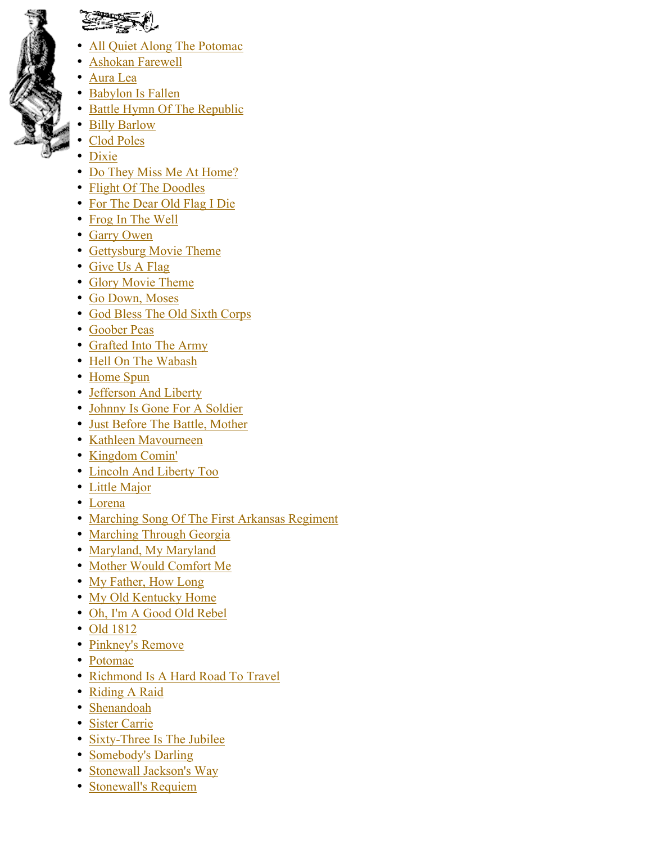

- All Quiet Along The Potomac
- Ashokan Farewell
- Aura Lea
- Babylon Is Fallen
- Battle Hymn Of The Republic
- Billy Barlow
- Clod Poles
- Dixie
- Do They Miss Me At Home?
- Flight Of The Doodles
- For The Dear Old Flag I Die
- Frog In The Well
- Garry Owen
- Gettysburg Movie Theme
- Give Us A Flag
- Glory Movie Theme
- Go Down, Moses
- God Bless The Old Sixth Corps
- Goober Peas
- Grafted Into The Army
- Hell On The Wabash
- Home Spun
- Jefferson And Liberty
- Johnny Is Gone For A Soldier
- Just Before The Battle, Mother
- Kathleen Mavourneen
- Kingdom Comin'
- Lincoln And Liberty Too
- Little Major
- Lorena
- Marching Song Of The First Arkansas Regiment
- Marching Through Georgia
- Maryland, My Maryland
- Mother Would Comfort Me
- My Father, How Long
- My Old Kentucky Home
- Oh, I'm A Good Old Rebel
- Old 1812
- Pinkney's Remove
- Potomac
- Richmond Is A Hard Road To Travel
- Riding A Raid
- Shenandoah
- Sister Carrie
- Sixty-Three Is The Jubilee
- Somebody's Darling
- Stonewall Jackson's Way
- Stonewall's Requiem